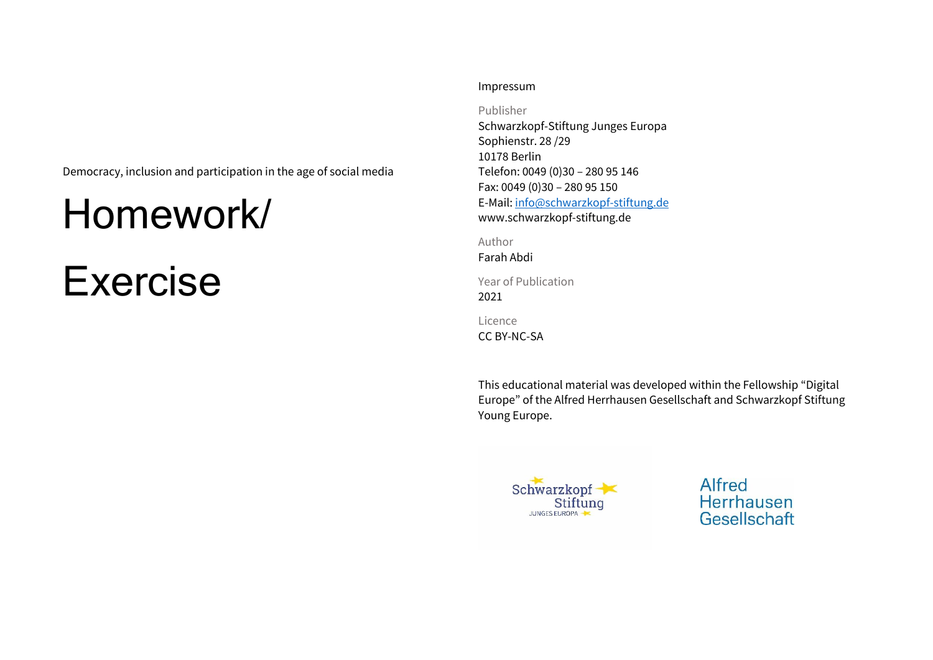Democracy, inclusion and participation in the age of social media

## Homework/

# Exercise

#### Impressum

Publisher

Schwarzkopf-Stiftung Junges Europa Sophienstr. 28 /29 10178 Berlin Telefon: 0049 (0)30 – 280 95 146 Fax: 0049 (0)30 – 280 95 150 E-Mail: [info@schwarzkopf-stiftung.de](mailto:info@schwarzkopf-stiftung.de) www.schwarzkopf-stiftung.de

Author

Farah Abdi

Year of Publication 2021

Licence

CC BY-NC-SA

This educational material was developed within the Fellowship "Digital Europe" of the Alfred Herrhausen Gesellschaft and Schwarzkopf Stiftung Young Europe.



Alfred Herrhausen Gesellschaft